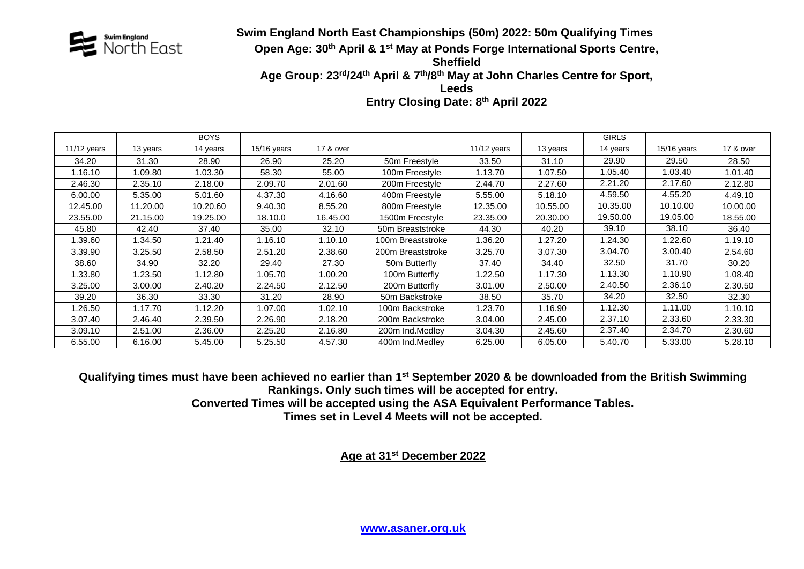

## **Swim England North East Championships (50m) 2022: 50m Qualifying Times**<br>North East **champions of the Start of April & 1<sup>st</sup> May at Ponds Forge International Sports Centre Open Age: 30th April & 1 st May at Ponds Forge International Sports Centre, Sheffield** Age Group: 23<sup>rd</sup>/24<sup>th</sup> April & 7<sup>th</sup>/8<sup>th</sup> May at John Charles Centre for Sport, **Leeds**

**Entry Closing Date: 8 th April 2022**

|             |          | <b>BOYS</b> |             |           |                   |             |          | <b>GIRLS</b> |             |           |
|-------------|----------|-------------|-------------|-----------|-------------------|-------------|----------|--------------|-------------|-----------|
| 11/12 years | 13 years | 14 years    | 15/16 years | 17 & over |                   | 11/12 years | 13 years | 14 years     | 15/16 years | 17 & over |
| 34.20       | 31.30    | 28.90       | 26.90       | 25.20     | 50m Freestyle     | 33.50       | 31.10    | 29.90        | 29.50       | 28.50     |
| 1.16.10     | .09.80   | 1.03.30     | 58.30       | 55.00     | 100m Freestyle    | 1.13.70     | 1.07.50  | 1.05.40      | 1.03.40     | 1.01.40   |
| 2.46.30     | 2.35.10  | 2.18.00     | 2.09.70     | 2.01.60   | 200m Freestyle    | 2.44.70     | 2.27.60  | 2.21.20      | 2.17.60     | 2.12.80   |
| 6.00.00     | 5.35.00  | 5.01.60     | 4.37.30     | 4.16.60   | 400m Freestyle    | 5.55.00     | 5.18.10  | 4.59.50      | 4.55.20     | 4.49.10   |
| 12.45.00    | 11.20.00 | 10.20.60    | 9.40.30     | 8.55.20   | 800m Freestyle    | 12.35.00    | 10.55.00 | 10.35.00     | 10.10.00    | 10.00.00  |
| 23.55.00    | 21.15.00 | 19.25.00    | 18.10.0     | 16.45.00  | 1500m Freestyle   | 23.35.00    | 20.30.00 | 19.50.00     | 19.05.00    | 18.55.00  |
| 45.80       | 42.40    | 37.40       | 35.00       | 32.10     | 50m Breaststroke  | 44.30       | 40.20    | 39.10        | 38.10       | 36.40     |
| 1.39.60     | .34.50   | 1.21.40     | 1.16.10     | 1.10.10   | 100m Breaststroke | 1.36.20     | 1.27.20  | 1.24.30      | 1.22.60     | 1.19.10   |
| 3.39.90     | 3.25.50  | 2.58.50     | 2.51.20     | 2.38.60   | 200m Breaststroke | 3.25.70     | 3.07.30  | 3.04.70      | 3.00.40     | 2.54.60   |
| 38.60       | 34.90    | 32.20       | 29.40       | 27.30     | 50m Butterfly     | 37.40       | 34.40    | 32.50        | 31.70       | 30.20     |
| 1.33.80     | .23.50   | 1.12.80     | 1.05.70     | 1.00.20   | 100m Butterfly    | 1.22.50     | 1.17.30  | 1.13.30      | 1.10.90     | 1.08.40   |
| 3.25.00     | 3.00.00  | 2.40.20     | 2.24.50     | 2.12.50   | 200m Butterfly    | 3.01.00     | 2.50.00  | 2.40.50      | 2.36.10     | 2.30.50   |
| 39.20       | 36.30    | 33.30       | 31.20       | 28.90     | 50m Backstroke    | 38.50       | 35.70    | 34.20        | 32.50       | 32.30     |
| 1.26.50     | .17.70   | 1.12.20     | 1.07.00     | 1.02.10   | 100m Backstroke   | 1.23.70     | 1.16.90  | 1.12.30      | 1.11.00     | 1.10.10   |
| 3.07.40     | 2.46.40  | 2.39.50     | 2.26.90     | 2.18.20   | 200m Backstroke   | 3.04.00     | 2.45.00  | 2.37.10      | 2.33.60     | 2.33.30   |
| 3.09.10     | 2.51.00  | 2.36.00     | 2.25.20     | 2.16.80   | 200m Ind.Medley   | 3.04.30     | 2.45.60  | 2.37.40      | 2.34.70     | 2.30.60   |
| 6.55.00     | 6.16.00  | 5.45.00     | 5.25.50     | 4.57.30   | 400m Ind.Medley   | 6.25.00     | 6.05.00  | 5.40.70      | 5.33.00     | 5.28.10   |

**Qualifying times must have been achieved no earlier than 1 st September 2020 & be downloaded from the British Swimming Rankings. Only such times will be accepted for entry.**

**Converted Times will be accepted using the ASA Equivalent Performance Tables.**

**Times set in Level 4 Meets will not be accepted.**

**Age at 31st December 2022**

**[www.asaner.org.uk](http://www.asaner.org.uk/)**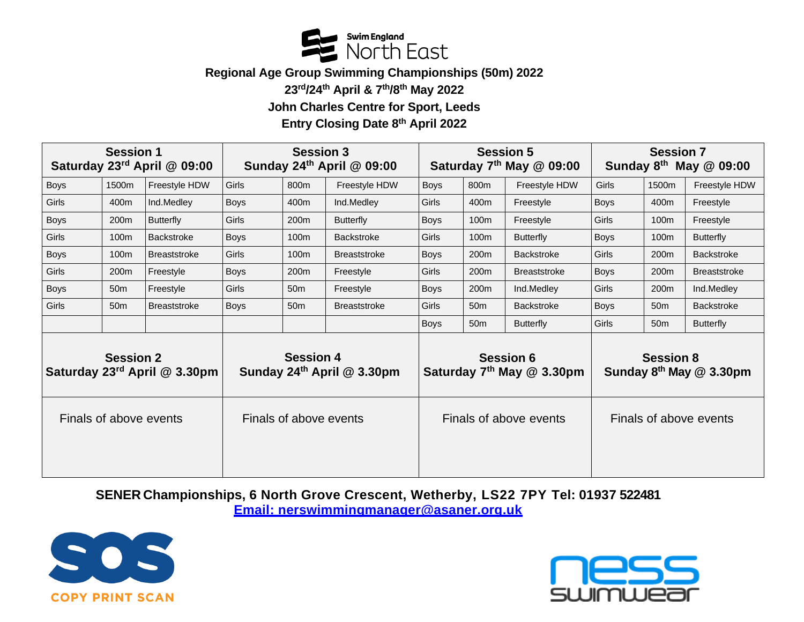

**Regional Age Group Swimming Championships (50m) 2022**

**23 rd/24 th April & 7 th/8 th May 2022**

**John Charles Centre for Sport, Leeds**

**Entry Closing Date 8 th April 2022**

| <b>Session 1</b><br>Saturday 23rd April @ 09:00  |                  |                     | <b>Session 3</b><br>Sunday 24th April @ 09:00  |                  |                     | <b>Session 5</b><br>Saturday $7th$ May $@$ 09:00          |                  |                     | <b>Session 7</b><br>Sunday $8^{th}$ May $@$ 09:00       |                  |                     |
|--------------------------------------------------|------------------|---------------------|------------------------------------------------|------------------|---------------------|-----------------------------------------------------------|------------------|---------------------|---------------------------------------------------------|------------------|---------------------|
| Boys                                             | 1500m            | Freestyle HDW       | Girls                                          | 800m             | Freestyle HDW       | <b>Boys</b>                                               | 800m             | Freestyle HDW       | Girls                                                   | 1500m            | Freestyle HDW       |
| Girls                                            | 400m             | Ind.Medley          | <b>Boys</b>                                    | 400m             | Ind.Medley          | Girls                                                     | 400m             | Freestyle           | <b>Boys</b>                                             | 400m             | Freestyle           |
| <b>Boys</b>                                      | 200 <sub>m</sub> | <b>Butterfly</b>    | Girls                                          | 200 <sub>m</sub> | <b>Butterfly</b>    | Boys                                                      | 100m             | Freestyle           | Girls                                                   | 100m             | Freestyle           |
| Girls                                            | 100m             | <b>Backstroke</b>   | <b>Boys</b>                                    | 100m             | <b>Backstroke</b>   | Girls                                                     | 100m             | <b>Butterfly</b>    | <b>Boys</b>                                             | 100m             | <b>Butterfly</b>    |
| <b>Boys</b>                                      | 100m             | <b>Breaststroke</b> | Girls                                          | 100 <sub>m</sub> | <b>Breaststroke</b> | <b>Boys</b>                                               | 200m             | <b>Backstroke</b>   | <b>Girls</b>                                            | 200 <sub>m</sub> | <b>Backstroke</b>   |
| Girls                                            | 200m             | Freestyle           | <b>Boys</b>                                    | 200 <sub>m</sub> | Freestyle           | <b>Girls</b>                                              | 200m             | <b>Breaststroke</b> | <b>Boys</b>                                             | 200 <sub>m</sub> | <b>Breaststroke</b> |
| Boys                                             | 50 <sub>m</sub>  | Freestyle           | Girls                                          | 50 <sub>m</sub>  | Freestyle           | <b>Boys</b>                                               | 200 <sub>m</sub> | Ind.Medley          | Girls                                                   | 200 <sub>m</sub> | Ind.Medley          |
| Girls                                            | 50 <sub>m</sub>  | <b>Breaststroke</b> | <b>Boys</b>                                    | 50 <sub>m</sub>  | <b>Breaststroke</b> | <b>Girls</b>                                              | 50 <sub>m</sub>  | <b>Backstroke</b>   | Boys                                                    | 50 <sub>m</sub>  | <b>Backstroke</b>   |
|                                                  |                  |                     |                                                |                  |                     | <b>Boys</b>                                               | 50 <sub>m</sub>  | <b>Butterfly</b>    | Girls                                                   | 50 <sub>m</sub>  | <b>Butterfly</b>    |
| <b>Session 2</b><br>Saturday 23rd April @ 3.30pm |                  |                     | <b>Session 4</b><br>Sunday 24th April @ 3.30pm |                  |                     | <b>Session 6</b><br>Saturday 7 <sup>th</sup> May @ 3.30pm |                  |                     | <b>Session 8</b><br>Sunday 8 <sup>th</sup> May @ 3.30pm |                  |                     |
| Finals of above events                           |                  |                     | Finals of above events                         |                  |                     | Finals of above events                                    |                  |                     | Finals of above events                                  |                  |                     |

**SENER Championships, 6 North Grove Crescent, Wetherby, LS22 7PY Tel: 01937 522481 Email: nerswimmingmanager@asaner.org.uk**